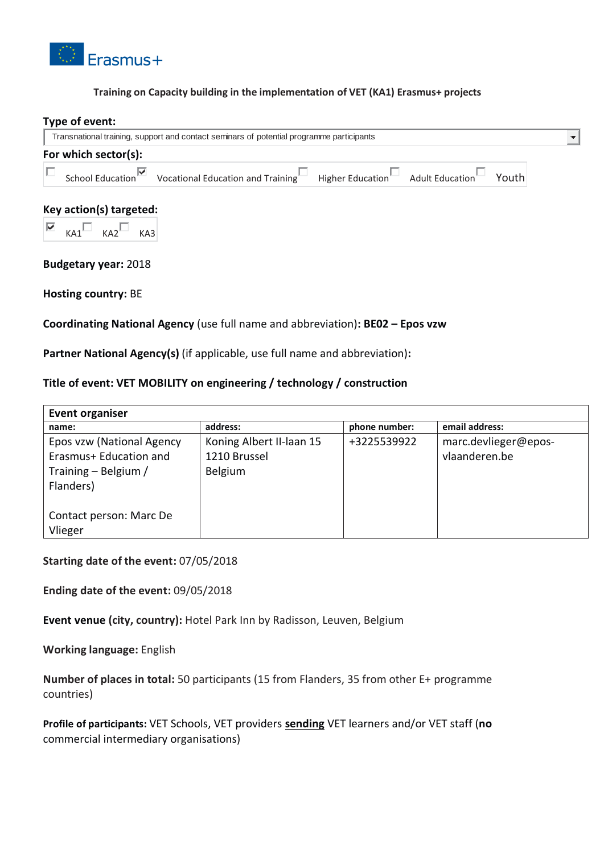

#### **Training on Capacity building in the implementation of VET (KA1) Erasmus+ projects**

# **Type of event:** Transnational training, support and contact seminars of potential programme participants  $\frac{1}{2}$ **For which sector(s):**  г School Education  $\blacksquare$  Vocational Education and Training Higher Education Adult Education Youth **Key action(s) targeted:**   $KAI$   $KAI$   $KAI$ **Budgetary year:** 2018

**Hosting country:** BE

## **Coordinating National Agency** (use full name and abbreviation)**: BE02 – Epos vzw**

**Partner National Agency(s)** (if applicable, use full name and abbreviation)**:** 

## **Title of event: VET MOBILITY on engineering / technology / construction**

| <b>Event organiser</b>    |                          |               |                      |
|---------------------------|--------------------------|---------------|----------------------|
| name:                     | address:                 | phone number: | email address:       |
| Epos vzw (National Agency | Koning Albert II-laan 15 | +3225539922   | marc.devlieger@epos- |
| Erasmus+ Education and    | 1210 Brussel             |               | vlaanderen.be        |
| Training - Belgium /      | Belgium                  |               |                      |
| Flanders)                 |                          |               |                      |
|                           |                          |               |                      |
| Contact person: Marc De   |                          |               |                      |
| Vlieger                   |                          |               |                      |

**Starting date of the event:** 07/05/2018

**Ending date of the event:** 09/05/2018

**Event venue (city, country):** Hotel Park Inn by Radisson, Leuven, Belgium

**Working language:** English

**Number of places in total:** 50 participants (15 from Flanders, 35 from other E+ programme countries)

**Profile of participants:** VET Schools, VET providers **sending** VET learners and/or VET staff (**no** commercial intermediary organisations)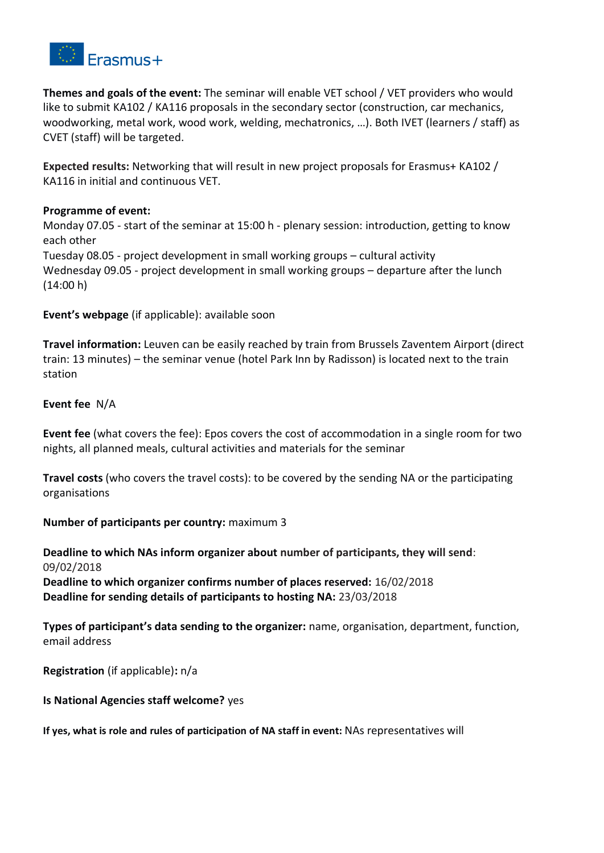

**Themes and goals of the event:** The seminar will enable VET school / VET providers who would like to submit KA102 / KA116 proposals in the secondary sector (construction, car mechanics, woodworking, metal work, wood work, welding, mechatronics, …). Both IVET (learners / staff) as CVET (staff) will be targeted.

**Expected results:** Networking that will result in new project proposals for Erasmus+ KA102 / KA116 in initial and continuous VET.

## **Programme of event:**

Monday 07.05 - start of the seminar at 15:00 h - plenary session: introduction, getting to know each other

Tuesday 08.05 - project development in small working groups – cultural activity Wednesday 09.05 - project development in small working groups – departure after the lunch  $(14:00 h)$ 

**Event's webpage** (if applicable): available soon

**Travel information:** Leuven can be easily reached by train from Brussels Zaventem Airport (direct train: 13 minutes) – the seminar venue (hotel Park Inn by Radisson) is located next to the train station

#### **Event fee** N/A

**Event fee** (what covers the fee): Epos covers the cost of accommodation in a single room for two nights, all planned meals, cultural activities and materials for the seminar

**Travel costs** (who covers the travel costs): to be covered by the sending NA or the participating organisations

## **Number of participants per country:** maximum 3

**Deadline to which NAs inform organizer about number of participants, they will send**: 09/02/2018 **Deadline to which organizer confirms number of places reserved:** 16/02/2018 **Deadline for sending details of participants to hosting NA:** 23/03/2018

**Types of participant's data sending to the organizer:** name, organisation, department, function, email address

**Registration** (if applicable)**:** n/a

## **Is National Agencies staff welcome?** yes

**If yes, what is role and rules of participation of NA staff in event:** NAs representatives will